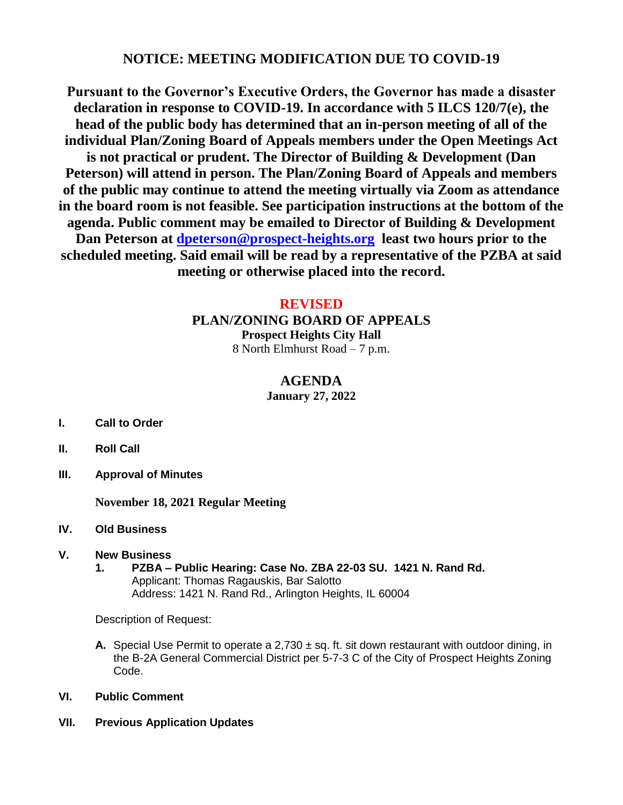# **NOTICE: MEETING MODIFICATION DUE TO COVID-19**

**Pursuant to the Governor's Executive Orders, the Governor has made a disaster declaration in response to COVID-19. In accordance with 5 ILCS 120/7(e), the head of the public body has determined that an in-person meeting of all of the individual Plan/Zoning Board of Appeals members under the Open Meetings Act is not practical or prudent. The Director of Building & Development (Dan Peterson) will attend in person. The Plan/Zoning Board of Appeals and members of the public may continue to attend the meeting virtually via Zoom as attendance in the board room is not feasible. See participation instructions at the bottom of the agenda. Public comment may be emailed to Director of Building & Development Dan Peterson at [dpeterson@prospect-heights.org](mailto:dpeterson@prospect-heights.org) least two hours prior to the scheduled meeting. Said email will be read by a representative of the PZBA at said meeting or otherwise placed into the record.**

## **REVISED**

**PLAN/ZONING BOARD OF APPEALS**

**Prospect Heights City Hall** 8 North Elmhurst Road – 7 p.m.

## **AGENDA**

**January 27, 2022**

- **I. Call to Order**
- **II. Roll Call**
- **III. Approval of Minutes**

**November 18, 2021 Regular Meeting**

**IV. Old Business**

#### **V. New Business**

**1. PZBA – Public Hearing: Case No. ZBA 22-03 SU. 1421 N. Rand Rd.** Applicant: Thomas Ragauskis, Bar Salotto Address: 1421 N. Rand Rd., Arlington Heights, IL 60004

Description of Request:

- **A.** Special Use Permit to operate a  $2,730 \pm sq$ . ft. sit down restaurant with outdoor dining, in the B-2A General Commercial District per 5-7-3 C of the City of Prospect Heights Zoning Code.
- **VI. Public Comment**
- **VII. Previous Application Updates**